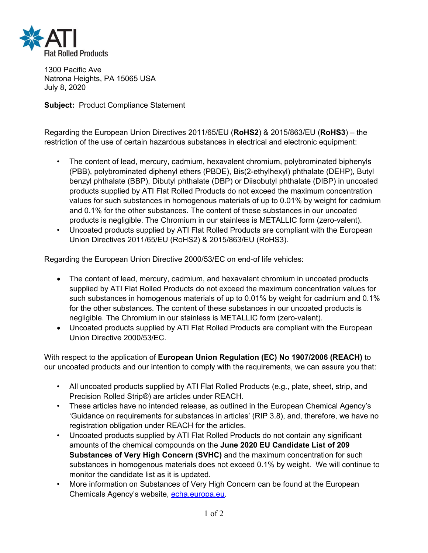

1300 Pacific Ave Natrona Heights, PA 15065 USA July 8, 2020

**Subject:** Product Compliance Statement

Regarding the European Union Directives 2011/65/EU (**RoHS2**) & 2015/863/EU (**RoHS3**) – the restriction of the use of certain hazardous substances in electrical and electronic equipment:

- The content of lead, mercury, cadmium, hexavalent chromium, polybrominated biphenyls (PBB), polybrominated diphenyl ethers (PBDE), Bis(2-ethylhexyl) phthalate (DEHP), Butyl benzyl phthalate (BBP), Dibutyl phthalate (DBP) or Diisobutyl phthalate (DIBP) in uncoated products supplied by ATI Flat Rolled Products do not exceed the maximum concentration values for such substances in homogenous materials of up to 0.01% by weight for cadmium and 0.1% for the other substances. The content of these substances in our uncoated products is negligible. The Chromium in our stainless is METALLIC form (zero-valent).
- Uncoated products supplied by ATI Flat Rolled Products are compliant with the European Union Directives 2011/65/EU (RoHS2) & 2015/863/EU (RoHS3).

Regarding the European Union Directive 2000/53/EC on end-of life vehicles:

- The content of lead, mercury, cadmium, and hexavalent chromium in uncoated products supplied by ATI Flat Rolled Products do not exceed the maximum concentration values for such substances in homogenous materials of up to 0.01% by weight for cadmium and 0.1% for the other substances. The content of these substances in our uncoated products is negligible. The Chromium in our stainless is METALLIC form (zero-valent).
- Uncoated products supplied by ATI Flat Rolled Products are compliant with the European Union Directive 2000/53/EC.

With respect to the application of **European Union Regulation (EC) No 1907/2006 (REACH)** to our uncoated products and our intention to comply with the requirements, we can assure you that:

- All uncoated products supplied by ATI Flat Rolled Products (e.g., plate, sheet, strip, and Precision Rolled Strip®) are articles under REACH.
- These articles have no intended release, as outlined in the European Chemical Agency's 'Guidance on requirements for substances in articles' (RIP 3.8), and, therefore, we have no registration obligation under REACH for the articles.
- Uncoated products supplied by ATI Flat Rolled Products do not contain any significant amounts of the chemical compounds on the **June 2020 EU Candidate List of 209 Substances of Very High Concern (SVHC)** and the maximum concentration for such substances in homogenous materials does not exceed 0.1% by weight. We will continue to monitor the candidate list as it is updated.
- More information on Substances of Very High Concern can be found at the European Chemicals Agency's website, echa.europa.eu.